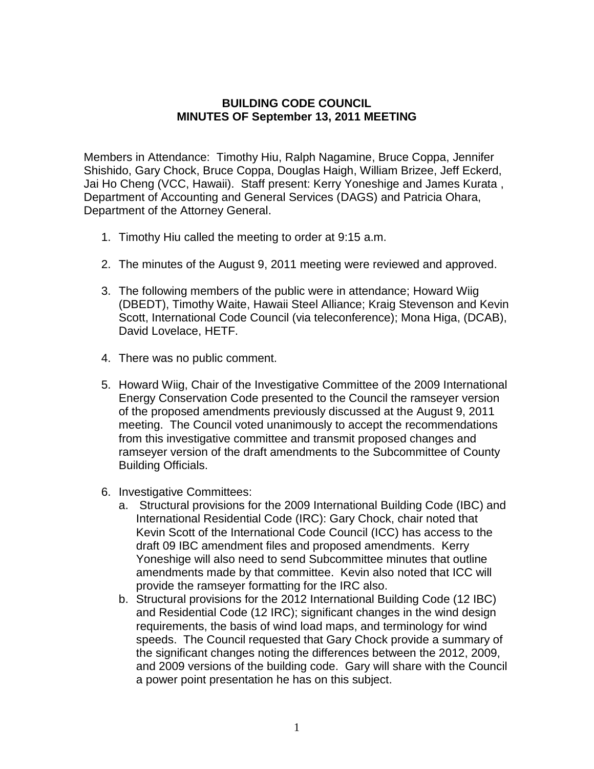## **BUILDING CODE COUNCIL MINUTES OF September 13, 2011 MEETING**

Members in Attendance: Timothy Hiu, Ralph Nagamine, Bruce Coppa, Jennifer Shishido, Gary Chock, Bruce Coppa, Douglas Haigh, William Brizee, Jeff Eckerd, Jai Ho Cheng (VCC, Hawaii). Staff present: Kerry Yoneshige and James Kurata , Department of Accounting and General Services (DAGS) and Patricia Ohara, Department of the Attorney General.

- 1. Timothy Hiu called the meeting to order at 9:15 a.m.
- 2. The minutes of the August 9, 2011 meeting were reviewed and approved.
- 3. The following members of the public were in attendance; Howard Wiig (DBEDT), Timothy Waite, Hawaii Steel Alliance; Kraig Stevenson and Kevin Scott, International Code Council (via teleconference); Mona Higa, (DCAB), David Lovelace, HETF.
- 4. There was no public comment.
- 5. Howard Wiig, Chair of the Investigative Committee of the 2009 International Energy Conservation Code presented to the Council the ramseyer version of the proposed amendments previously discussed at the August 9, 2011 meeting. The Council voted unanimously to accept the recommendations from this investigative committee and transmit proposed changes and ramseyer version of the draft amendments to the Subcommittee of County Building Officials.
- 6. Investigative Committees:
	- a. Structural provisions for the 2009 International Building Code (IBC) and International Residential Code (IRC): Gary Chock, chair noted that Kevin Scott of the International Code Council (ICC) has access to the draft 09 IBC amendment files and proposed amendments. Kerry Yoneshige will also need to send Subcommittee minutes that outline amendments made by that committee. Kevin also noted that ICC will provide the ramseyer formatting for the IRC also.
	- b. Structural provisions for the 2012 International Building Code (12 IBC) and Residential Code (12 IRC); significant changes in the wind design requirements, the basis of wind load maps, and terminology for wind speeds. The Council requested that Gary Chock provide a summary of the significant changes noting the differences between the 2012, 2009, and 2009 versions of the building code. Gary will share with the Council a power point presentation he has on this subject.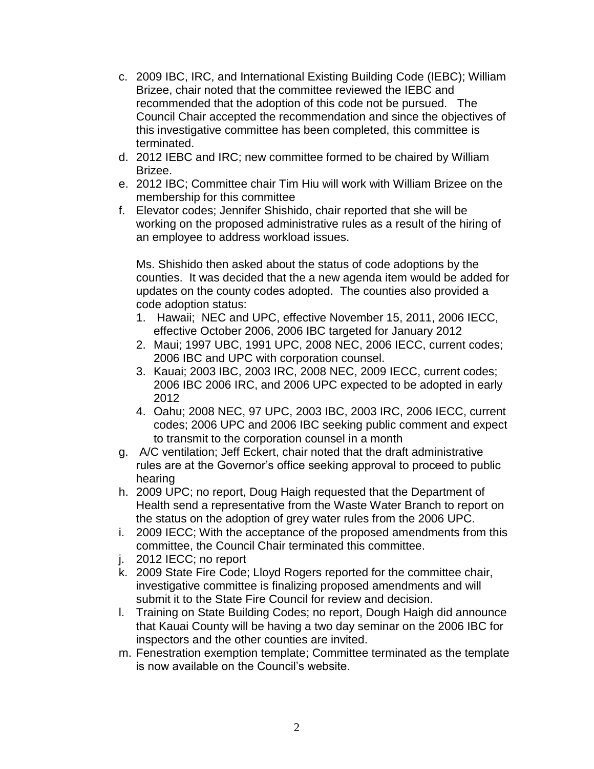- c. 2009 IBC, IRC, and International Existing Building Code (IEBC); William Brizee, chair noted that the committee reviewed the IEBC and recommended that the adoption of this code not be pursued. The Council Chair accepted the recommendation and since the objectives of this investigative committee has been completed, this committee is terminated.
- d. 2012 IEBC and IRC; new committee formed to be chaired by William Brizee.
- e. 2012 IBC; Committee chair Tim Hiu will work with William Brizee on the membership for this committee
- f. Elevator codes; Jennifer Shishido, chair reported that she will be working on the proposed administrative rules as a result of the hiring of an employee to address workload issues.

Ms. Shishido then asked about the status of code adoptions by the counties. It was decided that the a new agenda item would be added for updates on the county codes adopted. The counties also provided a code adoption status:

- 1. Hawaii; NEC and UPC, effective November 15, 2011, 2006 IECC, effective October 2006, 2006 IBC targeted for January 2012
- 2. Maui; 1997 UBC, 1991 UPC, 2008 NEC, 2006 IECC, current codes; 2006 IBC and UPC with corporation counsel.
- 3. Kauai; 2003 IBC, 2003 IRC, 2008 NEC, 2009 IECC, current codes; 2006 IBC 2006 IRC, and 2006 UPC expected to be adopted in early 2012
- 4. Oahu; 2008 NEC, 97 UPC, 2003 IBC, 2003 IRC, 2006 IECC, current codes; 2006 UPC and 2006 IBC seeking public comment and expect to transmit to the corporation counsel in a month
- g. A/C ventilation; Jeff Eckert, chair noted that the draft administrative rules are at the Governor's office seeking approval to proceed to public hearing
- h. 2009 UPC; no report, Doug Haigh requested that the Department of Health send a representative from the Waste Water Branch to report on the status on the adoption of grey water rules from the 2006 UPC.
- i. 2009 IECC; With the acceptance of the proposed amendments from this committee, the Council Chair terminated this committee.
- j. 2012 IECC; no report
- k. 2009 State Fire Code; Lloyd Rogers reported for the committee chair, investigative committee is finalizing proposed amendments and will submit it to the State Fire Council for review and decision.
- l. Training on State Building Codes; no report, Dough Haigh did announce that Kauai County will be having a two day seminar on the 2006 IBC for inspectors and the other counties are invited.
- m. Fenestration exemption template; Committee terminated as the template is now available on the Council's website.